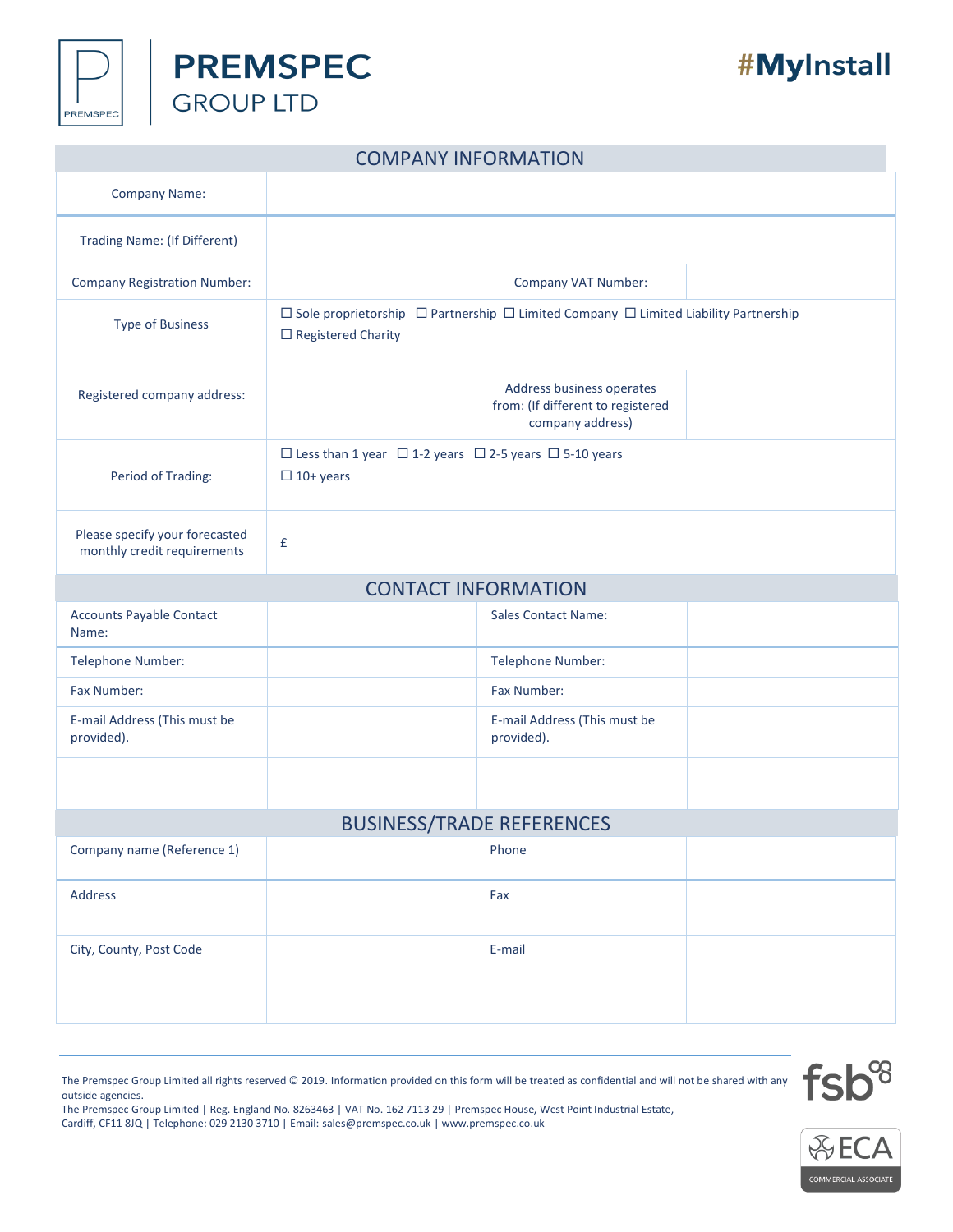



## #MyInstall

| <b>COMPANY INFORMATION</b>                                    |                                                                                                                                   |                                                                                    |  |  |  |  |  |
|---------------------------------------------------------------|-----------------------------------------------------------------------------------------------------------------------------------|------------------------------------------------------------------------------------|--|--|--|--|--|
| <b>Company Name:</b>                                          |                                                                                                                                   |                                                                                    |  |  |  |  |  |
| <b>Trading Name: (If Different)</b>                           |                                                                                                                                   |                                                                                    |  |  |  |  |  |
| <b>Company Registration Number:</b>                           |                                                                                                                                   | Company VAT Number:                                                                |  |  |  |  |  |
| <b>Type of Business</b>                                       | $\Box$ Sole proprietorship $\Box$ Partnership $\Box$ Limited Company $\Box$ Limited Liability Partnership<br>□ Registered Charity |                                                                                    |  |  |  |  |  |
| Registered company address:                                   |                                                                                                                                   | Address business operates<br>from: (If different to registered<br>company address) |  |  |  |  |  |
| Period of Trading:                                            | $\Box$ Less than 1 year $\Box$ 1-2 years $\Box$ 2-5 years $\Box$ 5-10 years<br>$\Box$ 10+ years                                   |                                                                                    |  |  |  |  |  |
| Please specify your forecasted<br>monthly credit requirements | £                                                                                                                                 |                                                                                    |  |  |  |  |  |
|                                                               |                                                                                                                                   | <b>CONTACT INFORMATION</b>                                                         |  |  |  |  |  |
| <b>Accounts Payable Contact</b><br>Name:                      |                                                                                                                                   | <b>Sales Contact Name:</b>                                                         |  |  |  |  |  |
| Telephone Number:                                             |                                                                                                                                   | Telephone Number:                                                                  |  |  |  |  |  |
| Fax Number:                                                   |                                                                                                                                   | Fax Number:                                                                        |  |  |  |  |  |
| E-mail Address (This must be<br>provided).                    |                                                                                                                                   | E-mail Address (This must be<br>provided).                                         |  |  |  |  |  |
|                                                               |                                                                                                                                   |                                                                                    |  |  |  |  |  |
| <b>BUSINESS/TRADE REFERENCES</b>                              |                                                                                                                                   |                                                                                    |  |  |  |  |  |
| Company name (Reference 1)                                    |                                                                                                                                   | Phone                                                                              |  |  |  |  |  |
| Address                                                       |                                                                                                                                   | Fax                                                                                |  |  |  |  |  |
| City, County, Post Code                                       |                                                                                                                                   | E-mail                                                                             |  |  |  |  |  |

The Premspec Group Limited | Reg. England No. 8263463 | VAT No. 162 7113 29 | Premspec House, West Point Industrial Estate, Cardiff, CF11 8JQ | Telephone: 029 2130 3710 | Email[: sales@premspec.co.uk](mailto:sales@premspec.co.uk) [| www.premspec.co.uk](http://www.premspec.co.uk/)



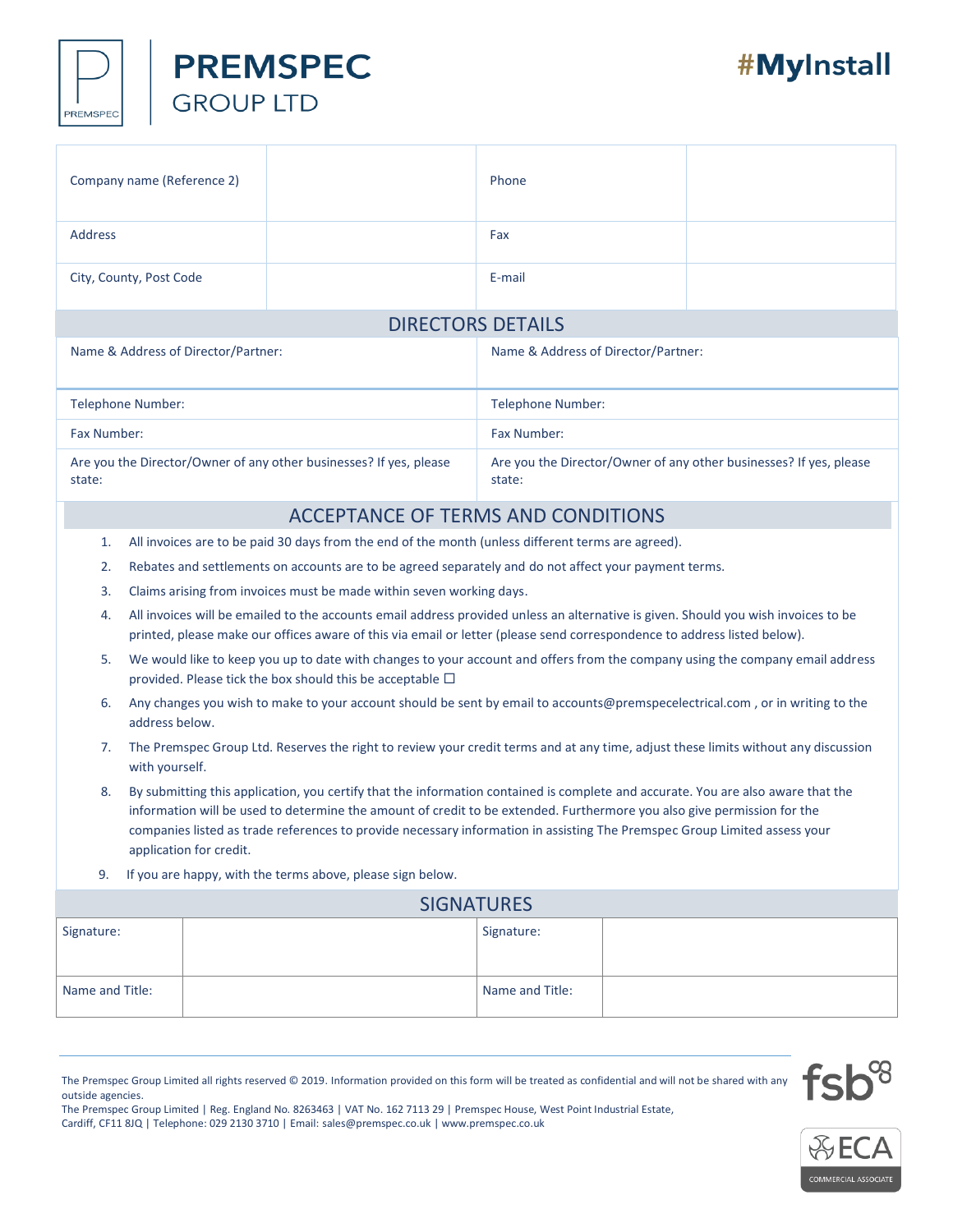

|                                                                                                                                                                                                                                                                                                                                                                                                                           | Company name (Reference 2)                                                                                                                           |                                                                                                       | Phone      |  |  |  |
|---------------------------------------------------------------------------------------------------------------------------------------------------------------------------------------------------------------------------------------------------------------------------------------------------------------------------------------------------------------------------------------------------------------------------|------------------------------------------------------------------------------------------------------------------------------------------------------|-------------------------------------------------------------------------------------------------------|------------|--|--|--|
| <b>Address</b>                                                                                                                                                                                                                                                                                                                                                                                                            |                                                                                                                                                      |                                                                                                       | Fax        |  |  |  |
|                                                                                                                                                                                                                                                                                                                                                                                                                           | City, County, Post Code                                                                                                                              |                                                                                                       | E-mail     |  |  |  |
| <b>DIRECTORS DETAILS</b>                                                                                                                                                                                                                                                                                                                                                                                                  |                                                                                                                                                      |                                                                                                       |            |  |  |  |
| Name & Address of Director/Partner:                                                                                                                                                                                                                                                                                                                                                                                       |                                                                                                                                                      | Name & Address of Director/Partner:                                                                   |            |  |  |  |
| <b>Telephone Number:</b>                                                                                                                                                                                                                                                                                                                                                                                                  |                                                                                                                                                      | Telephone Number:                                                                                     |            |  |  |  |
| Fax Number:                                                                                                                                                                                                                                                                                                                                                                                                               |                                                                                                                                                      | Fax Number:                                                                                           |            |  |  |  |
| Are you the Director/Owner of any other businesses? If yes, please<br>state:                                                                                                                                                                                                                                                                                                                                              |                                                                                                                                                      | Are you the Director/Owner of any other businesses? If yes, please<br>state:                          |            |  |  |  |
| <b>ACCEPTANCE OF TERMS AND CONDITIONS</b>                                                                                                                                                                                                                                                                                                                                                                                 |                                                                                                                                                      |                                                                                                       |            |  |  |  |
| All invoices are to be paid 30 days from the end of the month (unless different terms are agreed).<br>1.                                                                                                                                                                                                                                                                                                                  |                                                                                                                                                      |                                                                                                       |            |  |  |  |
| 2.                                                                                                                                                                                                                                                                                                                                                                                                                        |                                                                                                                                                      | Rebates and settlements on accounts are to be agreed separately and do not affect your payment terms. |            |  |  |  |
| 3.                                                                                                                                                                                                                                                                                                                                                                                                                        |                                                                                                                                                      | Claims arising from invoices must be made within seven working days.                                  |            |  |  |  |
| All invoices will be emailed to the accounts email address provided unless an alternative is given. Should you wish invoices to be<br>4.<br>printed, please make our offices aware of this via email or letter (please send correspondence to address listed below).                                                                                                                                                      |                                                                                                                                                      |                                                                                                       |            |  |  |  |
| We would like to keep you up to date with changes to your account and offers from the company using the company email address<br>5.<br>provided. Please tick the box should this be acceptable $\Box$                                                                                                                                                                                                                     |                                                                                                                                                      |                                                                                                       |            |  |  |  |
| 6.                                                                                                                                                                                                                                                                                                                                                                                                                        | Any changes you wish to make to your account should be sent by email to accounts@premspecelectrical.com, or in writing to the<br>address below.      |                                                                                                       |            |  |  |  |
| 7.                                                                                                                                                                                                                                                                                                                                                                                                                        | The Premspec Group Ltd. Reserves the right to review your credit terms and at any time, adjust these limits without any discussion<br>with yourself. |                                                                                                       |            |  |  |  |
| By submitting this application, you certify that the information contained is complete and accurate. You are also aware that the<br>8.<br>information will be used to determine the amount of credit to be extended. Furthermore you also give permission for the<br>companies listed as trade references to provide necessary information in assisting The Premspec Group Limited assess your<br>application for credit. |                                                                                                                                                      |                                                                                                       |            |  |  |  |
| If you are happy, with the terms above, please sign below.<br>9.                                                                                                                                                                                                                                                                                                                                                          |                                                                                                                                                      |                                                                                                       |            |  |  |  |
| <b>SIGNATURES</b>                                                                                                                                                                                                                                                                                                                                                                                                         |                                                                                                                                                      |                                                                                                       |            |  |  |  |
| Signature:                                                                                                                                                                                                                                                                                                                                                                                                                |                                                                                                                                                      |                                                                                                       | Signature: |  |  |  |
| Name and Title:                                                                                                                                                                                                                                                                                                                                                                                                           |                                                                                                                                                      | Name and Title:                                                                                       |            |  |  |  |

The Premspec Group Limited all rights reserved © 2019. Information provided on this form will be treated as confidential and will not be shared with any outside agencies.

The Premspec Group Limited | Reg. England No. 8263463 | VAT No. 162 7113 29 | Premspec House, West Point Industrial Estate, Cardiff, CF11 8JQ | Telephone: 029 2130 3710 | Email[: sales@premspec.co.uk](mailto:sales@premspec.co.uk) [| www.premspec.co.uk](http://www.premspec.co.uk/)